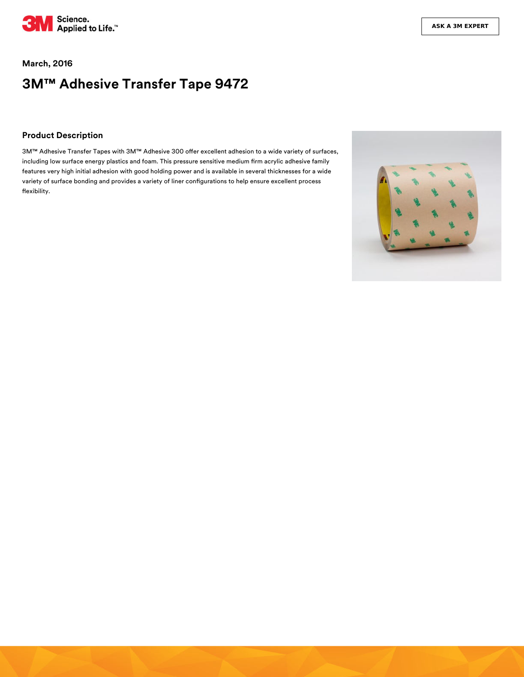

### **March, 2016**

# **3M™ Adhesive Transfer Tape 9472**

### **Product Description**

3M™ Adhesive Transfer Tapes with 3M™ Adhesive 300 offer excellent adhesion to a wide variety of surfaces, including low surface energy plastics and foam. This pressure sensitive medium firm acrylic adhesive family features very high initial adhesion with good holding power and is available in several thicknesses for a wide variety of surface bonding and provides a variety of liner configurations to help ensure excellent process flexibility.

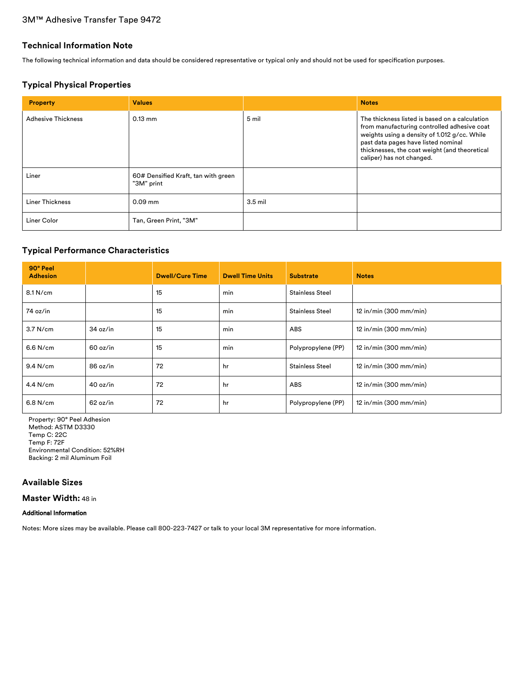# 3M™ Adhesive Transfer Tape 9472

### **Technical Information Note**

The following technical information and data should be considered representative or typical only and should not be used for specification purposes.

### **Typical Physical Properties**

| <b>Property</b>           | <b>Values</b>                                     |           | <b>Notes</b>                                                                                                                                                                                                                                                       |
|---------------------------|---------------------------------------------------|-----------|--------------------------------------------------------------------------------------------------------------------------------------------------------------------------------------------------------------------------------------------------------------------|
| <b>Adhesive Thickness</b> | $0.13$ mm                                         | 5 mil     | The thickness listed is based on a calculation<br>from manufacturing controlled adhesive coat<br>weights using a density of 1.012 g/cc. While<br>past data pages have listed nominal<br>thicknesses, the coat weight (and theoretical<br>caliper) has not changed. |
| Liner                     | 60# Densified Kraft, tan with green<br>"3M" print |           |                                                                                                                                                                                                                                                                    |
| Liner Thickness           | $0.09$ mm                                         | $3.5$ mil |                                                                                                                                                                                                                                                                    |
| Liner Color               | Tan, Green Print, "3M"                            |           |                                                                                                                                                                                                                                                                    |

### **Typical Performance Characteristics**

| 90° Peel<br><b>Adhesion</b> |          | <b>Dwell/Cure Time</b> | <b>Dwell Time Units</b> | <b>Substrate</b>       | <b>Notes</b>             |
|-----------------------------|----------|------------------------|-------------------------|------------------------|--------------------------|
| 8.1 N/cm                    |          | 15                     | min                     | <b>Stainless Steel</b> |                          |
| 74 oz/in                    |          | 15                     | min                     | <b>Stainless Steel</b> | 12 in/min (300 mm/min)   |
| 3.7 N/cm                    | 34 oz/in | 15                     | min                     | <b>ABS</b>             | $12$ in/min (300 mm/min) |
| 6.6 N/cm                    | 60 oz/in | 15                     | min                     | Polypropylene (PP)     | $12$ in/min (300 mm/min) |
| $9.4$ N/cm                  | 86 oz/in | 72                     | hr                      | <b>Stainless Steel</b> | 12 in/min (300 mm/min)   |
| $4.4$ N/cm                  | 40 oz/in | 72                     | hr                      | ABS                    | 12 in/min (300 mm/min)   |
| 6.8 N/cm                    | 62 oz/in | 72                     | hr                      | Polypropylene (PP)     | $12$ in/min (300 mm/min) |

Property: 90° Peel Adhesion Method: ASTM D3330 Temp C: 22C Temp F: 72F Environmental Condition: 52%RH Backing: 2 mil Aluminum Foil

# **Available Sizes**

**Master Width:** 48 in

### Additional Information

Notes: More sizes may be available. Please call 800-223-7427 or talk to your local 3M representative for more information.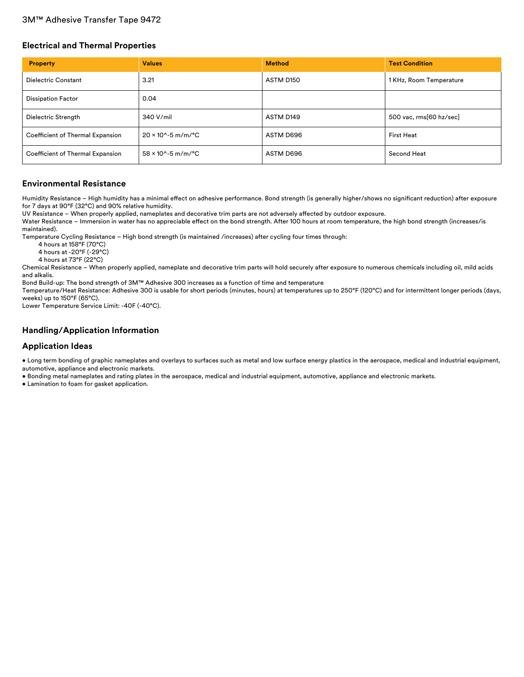### 3M™ Adhesive Transfer Tape 9472

### **Electrical and Thermal Properties**

| <b>Property</b>                  | <b>Values</b>                         | <b>Method</b> | <b>Test Condition</b>   |
|----------------------------------|---------------------------------------|---------------|-------------------------|
| <b>Dielectric Constant</b>       | 3.21                                  | ASTM D150     | 1 KHz, Room Temperature |
| <b>Dissipation Factor</b>        | 0.04                                  |               |                         |
| Dielectric Strength              | 340 V/mil                             | ASTM D149     | 500 vac, rms[60 hz/sec] |
| Coefficient of Thermal Expansion | $20 \times 10^{6} - 5$ m/m/°C         | ASTM D696     | <b>First Heat</b>       |
| Coefficient of Thermal Expansion | $58 \times 10^{6} - 5 \text{ m/m}$ °C | ASTM D696     | Second Heat             |

### **Environmental Resistance**

Humidity Resistance - High humidity has a minimal effect on adhesive performance. Bond strength (is generally higher/shows no significant reduction) after exposure for 7 days at 90°F (32°C) and 90% relative humidity.

UV Resistance - When properly applied, nameplates and decorative trim parts are not adversely affected by outdoor exposure.

Water Resistance – Immersion in water has no appreciable effect on the bond strength. After 100 hours at room temperature, the high bond strength (increases/is maintained).

Temperature Cycling Resistance – High bond strength (is maintained /increases) after cycling four times through:

4 hours at 158°F (70°C)

4 hours at -20°F (-29°C)

4 hours at 73°F (22°C)

Chemical Resistance – When properly applied, nameplate and decorative trim parts will hold securely after exposure to numerous chemicals including oil, mild acids and alkalis.

Bond Build-up: The bond strength of 3M™ Adhesive 300 increases as a function of time and temperature

Temperature/Heat Resistance: Adhesive 300 is usable for short periods (minutes, hours) at temperatures up to 250°F (120°C) and for intermittent longer periods (days, weeks) up to 150°F (65°C).

Lower Temperature Service Limit: -40F (-40°C).

### **Handling/Application Information**

### **Application Ideas**

• Long term bonding of graphic nameplates and overlays to surfaces such as metal and low surface energy plastics in the aerospace, medical and industrial equipment, automotive, appliance and electronic markets.

• Bonding metal nameplates and rating plates in the aerospace, medical and industrial equipment, automotive, appliance and electronic markets.

• Lamination to foam for gasket application.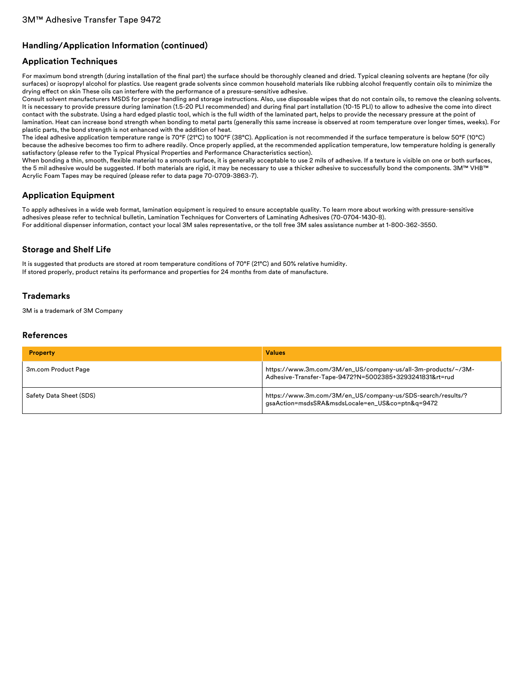# **Handling/Application Information (continued)**

# **Application Techniques**

For maximum bond strength (during installation of the final part) the surface should be thoroughly cleaned and dried. Typical cleaning solvents are heptane (for oily surfaces) or isopropyl alcohol for plastics. Use reagent grade solvents since common household materials like rubbing alcohol frequently contain oils to minimize the drying effect on skin These oils can interfere with the performance of a pressure-sensitive adhesive.

Consult solvent manufacturers MSDS for proper handling and storage instructions. Also, use disposable wipes that do not contain oils, to remove the cleaning solvents. It is necessary to provide pressure during lamination (1.5-20 PLI recommended) and during final part installation (10-15 PLI) to allow to adhesive the come into direct contact with the substrate. Using a hard edged plastic tool, which is the full width of the laminated part, helps to provide the necessary pressure at the point of lamination. Heat can increase bond strength when bonding to metal parts (generally this same increase is observed at room temperature over longer times, weeks). For plastic parts, the bond strength is not enhanced with the addition of heat.

The ideal adhesive application temperature range is 70°F (21°C) to 100°F (38°C). Application is not recommended if the surface temperature is below 50°F (10°C) because the adhesive becomes too firm to adhere readily. Once properly applied, at the recommended application temperature, low temperature holding is generally satisfactory (please refer to the Typical Physical Properties and Performance Characteristics section).

When bonding a thin, smooth, flexible material to a smooth surface, it is generally acceptable to use 2 mils of adhesive. If a texture is visible on one or both surfaces, the 5 mil adhesive would be suggested. If both materials are rigid, it may be necessary to use a thicker adhesive to successfully bond the components. 3M™ VHB™ Acrylic Foam Tapes may be required (please refer to data page 70-0709-3863-7).

## **Application Equipment**

To apply adhesives in a wide web format, lamination equipment is required to ensure acceptable quality. To learn more about working with pressure-sensitive adhesives please refer to technical bulletin, Lamination Techniques for Converters of Laminating Adhesives (70-0704-1430-8). For additional dispenser information, contact your local 3M sales representative, or the toll free 3M sales assistance number at 1-800-362-3550.

# **Storage and Shelf Life**

It is suggested that products are stored at room temperature conditions of 70°F (21°C) and 50% relative humidity. If stored properly, product retains its performance and properties for 24 months from date of manufacture.

### **Trademarks**

3M is a trademark of 3M Company

### **References**

| <b>Property</b>         | <b>Values</b>                                                                                                           |
|-------------------------|-------------------------------------------------------------------------------------------------------------------------|
| 3m.com Product Page     | https://www.3m.com/3M/en_US/company-us/all-3m-products/~/3M-<br>Adhesive-Transfer-Tape-9472?N=5002385+3293241831&rt=rud |
| Safety Data Sheet (SDS) | https://www.3m.com/3M/en_US/company-us/SDS-search/results/?<br>gsaAction=msdsSRA&msdsLocale=en_US&co=ptn&q=9472         |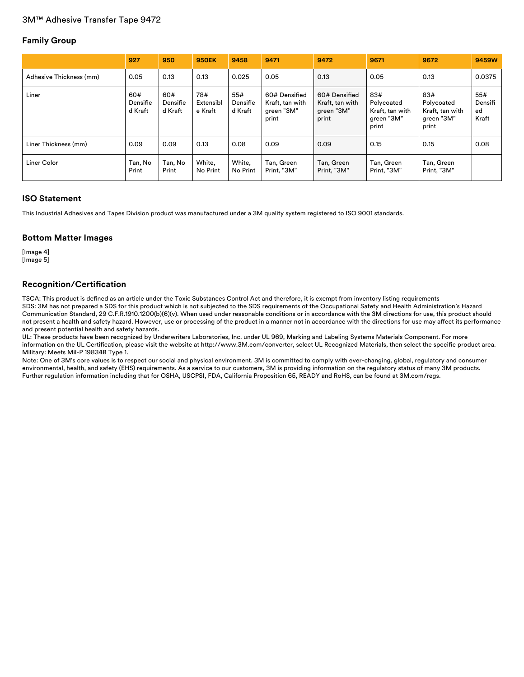# **Family Group**

|                         | 927                        | 950                        | <b>950EK</b>                | 9458                       | 9471                                                    | 9472                                                    | 9671                                                        | 9672                                                        | 9459W                         |
|-------------------------|----------------------------|----------------------------|-----------------------------|----------------------------|---------------------------------------------------------|---------------------------------------------------------|-------------------------------------------------------------|-------------------------------------------------------------|-------------------------------|
| Adhesive Thickness (mm) | 0.05                       | 0.13                       | 0.13                        | 0.025                      | 0.05                                                    | 0.13                                                    | 0.05                                                        | 0.13                                                        | 0.0375                        |
| Liner                   | 60#<br>Densifie<br>d Kraft | 60#<br>Densifie<br>d Kraft | 78#<br>Extensibl<br>e Kraft | 55#<br>Densifie<br>d Kraft | 60# Densified<br>Kraft, tan with<br>green "3M"<br>print | 60# Densified<br>Kraft, tan with<br>green "3M"<br>print | 83#<br>Polycoated<br>Kraft, tan with<br>green "3M"<br>print | 83#<br>Polycoated<br>Kraft, tan with<br>green "3M"<br>print | 55#<br>Densifi<br>ed<br>Kraft |
| Liner Thickness (mm)    | 0.09                       | 0.09                       | 0.13                        | 0.08                       | 0.09                                                    | 0.09                                                    | 0.15                                                        | 0.15                                                        | 0.08                          |
| Liner Color             | Tan, No<br>Print           | Tan, No<br>Print           | White,<br>No Print          | White,<br>No Print         | Tan, Green<br>Print, "3M"                               | Tan, Green<br>Print, "3M"                               | Tan, Green<br>Print, "3M"                                   | Tan, Green<br>Print, "3M"                                   |                               |

### **ISO Statement**

This Industrial Adhesives and Tapes Division product was manufactured under a 3M quality system registered to ISO 9001 standards.

### **Bottom Matter Images**

[Image 4] [Image 5]

### **Recognition/Certification**

TSCA: This product is defined as an article under the Toxic Substances Control Act and therefore, it is exempt from inventory listing requirements SDS: 3M has not prepared a SDS for this product which is not subjected to the SDS requirements of the Occupational Safety and Health Administration's Hazard Communication Standard, 29 C.F.R.1910.1200(b)(6)(v). When used under reasonable conditions or in accordance with the 3M directions for use, this product should not present a health and safety hazard. However, use or processing of the product in a manner not in accordance with the directions for use may affect its performance and present potential health and safety hazards.

UL: These products have been recognized by Underwriters Laboratories, Inc. under UL 969, Marking and Labeling Systems Materials Component. For more information on the UL Certification, please visit the website at http://www.3M.com/converter, select UL Recognized Materials, then select the specific product area. Military: Meets Mil-P 19834B Type 1.

Note: One of 3M's core values is to respect our social and physical environment. 3M is committed to comply with ever-changing, global, regulatory and consumer environmental, health, and safety (EHS) requirements. As a service to our customers, 3M is providing information on the regulatory status of many 3M products. Further regulation information including that for OSHA, USCPSI, FDA, California Proposition 65, READY and RoHS, can be found at 3M.com/regs.